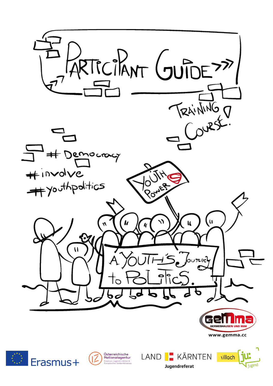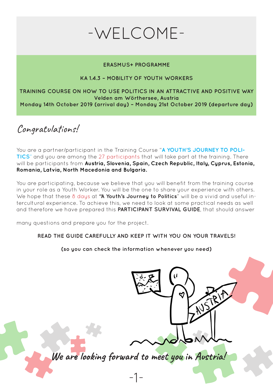# -WELCOME-

#### **ERASMUS+ PROGRAMME**

#### **KA 1.4.3 – MOBILITY OF YOUTH WORKERS**

#### **TRAINING COURSE ON HOW TO USE POLITICS IN AN ATTRACTIVE AND POSITIVE WAY Velden am Wörthersee, Austria Monday 14th October 2019 (arrival day) – Monday 21st October 2019 (departure day)**

Congratulations!

You are a partner/participant in the Training Course "**A YOUTH'S JOURNEY TO POLI-TICS**" and you are among the 27 participants that will take part at the training. There will be participants from **Austria, Slovenia, Spain, Czech Republic, Italy, Cyprus, Estonia, Romania, Latvia, North Macedonia and Bulgaria.**

You are participating, because we believe that you will benefit from the training course in your role as a Youth Worker. You will be the one to share your experience with others. We hope that these 8 days at **"A Youth's Journey to Politics**" will be a vivid and useful intercultural experience. To achieve this, we need to look at some practical needs as well and therefore we have prepared this **PARTICIPANT SURVIVAL GUIDE**, that should answer

many questions and prepare you for the project.

#### **READ THE GUIDE CAREFULLY AND KEEP IT WITH YOU ON YOUR TRAVELS!**

**(so you can check the information whenever you need)**

**We are looking forward to meet you in Austria!**

NUSTRIA

-1-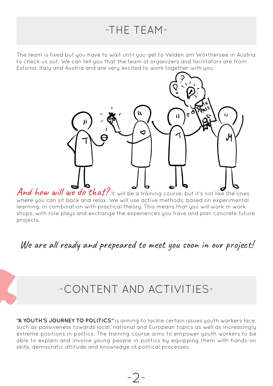### -THE TEAM-

The team is fixed but you have to wait until you get to Velden am Wörthersee in Austria to check us out. We can tell you that the team of organizers and facilitators are from Estonia, Italy and Austria and are very excited to work together with you.



And how will we do that? It will be a training course, but it's not like the ones where you can sit back and relax. We will use active methods, based on experimental learning, in combination with practical theory. This means that you will work in workshops, with role plays and exchange the experiences you have and plan concrete future projects.

#### We are all ready and prepeared to meet you soon in our project!

### -CONTENT AND ACTIVITIES-

**"A YOUTH'S JOURNEY TO POLITICS"** is aiming to tackle certain issues youth workers face, such as passiveness towards local, national and European topics as well as increasingly extreme positions in politics. The training course aims to empower youth workers to be able to explain and involve young people in politics by equipping them with hands-on skills, democratic attitude and knowledge of political processes.

-2-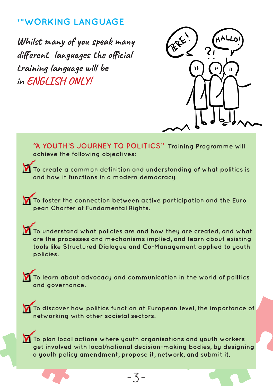#### **\*\*WORKING LANGUAGE**

**Whilst many of you speak many different languages the official training language will be in ENGLISH ONLY!**



**"A YOUTH'S JOURNEY TO POLITICS" Training Programme will achieve the following objectives: To create a common definition and understanding of what politics is and how it functions in a modern democracy. To foster the connection between active participation and the Euro pean Charter of Fundamental Rights. To understand what policies are and how they are created, and what are the processes and mechanisms implied, and learn about existing tools like Structured Dialogue and Co-Management applied to youth policies. To learn about advocacy and communication in the world of politics and governance. To discover how politics function at European level, the importance of networking with other societal sectors. To plan local actions where youth organisations and youth workers get involved with local/national decision-making bodies, by designing a youth policy amendment, propose it, network, and submit it.**

-3-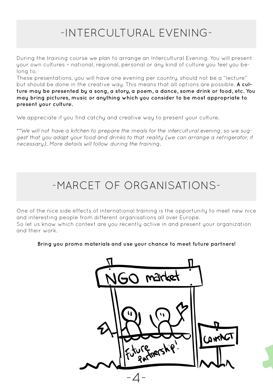# -INTERCULTURAL EVENING-

During the training course we plan to arrange an Intercultural Evening. You will present your own cultures – national, regional, personal or any kind of culture you feel you belong to.

These presentations, you will have one evening per country, should not be a "lecture" but should be done in the creative way. This means that all options are possible. **A culture may be presented by a song, a story, a poem, a dance, some drink or food, etc. You may bring pictures, music or anything which you consider to be most appropriate to present your culture.**

We appreciate if you find catchy and creative way to present your culture.

*\*\*We will not have a kitchen to prepare the meals for the intercultural evening, so we suggest that you adapt your food and drinks to that reality (we can arrange a refrigerator, if necessary). More details will follow during the training.*

# -MARCET OF ORGANISATIONS-

One of the nice side effects of international training is the opportunity to meet new nice and interesting people from different organisations all over Europe. So let us know which context are you recently active in and present your organization and their work.

**Bring you promo materials and use your chance to meet future partners!**

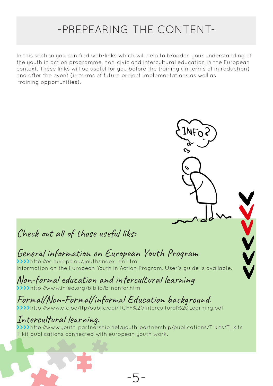### -PREPEARING THE CONTENT-

In this section you can find web-links which will help to broaden your understanding of the youth in action programme, non-civic and intercultural education in the European context. These links will be useful for you before the training (in terms of introduction) and after the event (in terms of future project implementations as well as training opportunities).

Check out all of those useful liks:

#### General information on European Youth Program

**>>>>**http://ec.europa.eu/youth/index\_en.htm Information on the European Youth in Action Program. User's guide is available.

Non-formal education and intercultural learning **>>>>**http://www.infed.org/biblio/b-nonfor.htm

### Formal/Non-Formal/informal Education background.

**>>>>**http://www.efc.be/ftp/public/cpi/TCFF%20Intercultural%20Learning.pdf

-5-

Intercultural learning. **>>>>**http://www.youth-partnership.net/youth-partnership/publications/T-kits/T\_kits T-kit publications connected with european youth work.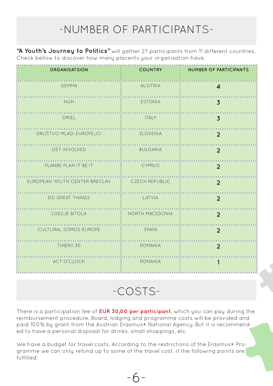## -NUMBER OF PARTICIPANTS-

**"A Youth's Journey to Politics"** will gather 27 participants from 11 different countries. Check bellow to discover how many placents your organisation have.

| <b>ORGANISATSION</b><br>                       | <b>COUNTRY</b>  | NUMBER OF PARTICIPANTS  |
|------------------------------------------------|-----------------|-------------------------|
| <b>GEMMA</b>                                   | AUSTRIA         | $\overline{\mathbf{4}}$ |
| NÜH<br>                                        | ESTONIA         | $\overline{3}$          |
| ORIEL                                          | <b>ITALY</b>    | $\overline{3}$          |
| DRUŠTVO MLADI EVROPEJCI :                      | SLOVENIA        | $\overline{2}$          |
| <b>GET INVOLVED</b>                            | <b>BULGARIA</b> | $\overline{2}$          |
| PLANBE PLAN IT BE IT                           | <b>CYPRUS</b>   | $\overline{2}$          |
| EUROPEAN YOUTH CENTER BRECLAV : CZECH REPUBLIC |                 | $\overline{2}$          |
| <b>DO GREAT THINGS</b>                         | LATVIA          | $\overline{2}$          |
| LOESJE BITOLA                                  | NORTH MACEDONIA | $\overline{2}$          |
| CULTURAL SOMOS EUROPE                          | SPAIN           | $\overline{2}$          |
| TINERII 3D                                     | <b>ROMANIA</b>  | $\overline{2}$          |
| ACT O'CLOCK                                    | ROMANIA         |                         |

-COSTS-

There is a participation fee of **EUR 30,00 per participant**, which you can pay during the reimbursement procedure. Board, lodging and programme costs will be provided and paid 100% by grant from the Austrian Erasmus+ National Agency. But it is recommended to have a personal disposal for drinks, small shoppings, etc.

We have a budget for travel costs. According to the restrictions of the Erasmus+ Programme we can only refund up to some of the travel cost, if the following points are fulfilled:

-6-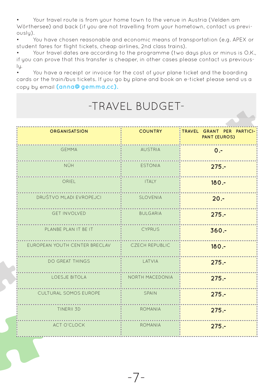• Your travel route is from your home town to the venue in Austria (Velden am Wörthersee) and back (if you are not travelling from your hometown, contact us previously).

• You have chosen reasonable and economic means of transportation (e.g. APEX or student fares for flight tickets, cheap airlines, 2nd class trains).

• Your travel dates are according to the programme (two days plus or minus is O.K., if you can prove that this transfer is cheaper, in other cases please contact us previously.

• You have a receipt or invoice for the cost of your plane ticket and the boarding cards or the train/bus tickets. If you go by plane and book an e-ticket please send us a copy by email **(anna@gemma.cc).**

# -TRAVEL BUDGET-

| <b>ORGANISATSION</b>                           | <b>COUNTRY</b>  | : TRAVEL GRANT PER PARTICI-<br><b>PANT (EUROS)</b> |
|------------------------------------------------|-----------------|----------------------------------------------------|
| <b>GEMMA</b>                                   | <b>AUSTRIA</b>  | $0 -$                                              |
| NÜH                                            | <b>ESTONIA</b>  | $275 -$                                            |
| ORIEL                                          | <b>ITALY</b>    | $180 -$                                            |
| DRUŠTVO MLADI EVROPEJCI                        | SLOVENIA        | $20 -$                                             |
| <b>GET INVOLVED</b>                            | <b>BULGARIA</b> | $275. -$                                           |
| PLANBE PLAN IT BE IT                           | <b>CYPRUS</b>   | $360 -$                                            |
| EUROPEAN YOUTH CENTER BRECLAV : CZECH REPUBLIC |                 | $180 -$                                            |
| <b>DO GREAT THINGS</b>                         | LATVIA          | $275 -$                                            |
| LOESJE BITOLA                                  | NORTH MACEDONIA | $275 -$                                            |
| CULTURAL SOMOS EUROPE                          | SPAIN           | $275. -$                                           |
| TINERII 3D                                     | ROMANIA         | $275 -$                                            |
| ACT O'CLOCK                                    | <b>ROMANIA</b>  | $275. -$                                           |

-7-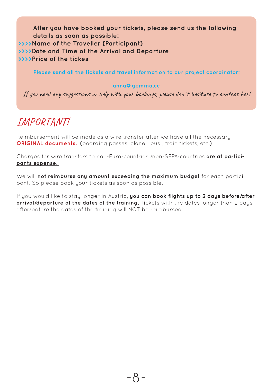**After you have booked your tickets, please send us the following details as soon as possible: >>>>Name of the Traveller (Participant) >>>>Date and Time of the Arrival and Departure >>>>Price of the tickes**

**Please send all the tickets and travel information to our project coordinator:**

#### **anna@gemma.cc**

If you need any suggestions or help with your bookings, please don´t hesitate to contact her!

#### IMPORTANT!

Reimbursement will be made as a wire transfer after we have all the necessary **ORIGINAL documents.** (boarding passes, plane-, bus-, train tickets, etc.).

Charges for wire transfers to non-Euro-countries /non-SEPA-countries **are at participants expense.** 

We will **not reimburse any amount exceeding the maximum budget** for each participant. So please book your tickets as soon as possible.

If you would like to stay longer in Austria, **you can book flights up to 2 days before/after arrival/departure of the dates of the training.** Tickets with the dates longer than 2 days after/before the dates of the training will NOT be reimbursed.

-8-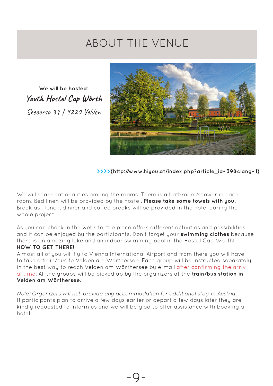### -ABOUT THE VENUE-

**We will be hosted: Youth Hostel Cap Wörth** Seecorso 39 | 9220 Velden



#### **>>>>(http://www.hiyou.at/index.php?article\_id=39&clang=1)**

We will share nationalities among the rooms. There is a bathroom/shower in each room. Bed linen will be provided by the hostel. **Please take some towels with you.** Breakfast, lunch, dinner and coffee breaks will be provided in the hotel during the whole project.

As you can check in the website, the place offers different activities and possibilities and it can be enjoyed by the participants. Don't forget your **swimming clothes** because there is an amazing lake and an indoor swimming pool in the Hostel Cap Wörth! **HOW TO GET THERE!**

Almost all of you will fly to Vienna International Airport and from there you will have to take a train/bus to Velden am Wörthersee. Each group will be instructed separately in the best way to reach Velden am Wörthersee by e-mail after confirming the arrival time. All the groups will be picked up by the organizers at the **train/bus station in Velden am Wörthersee.**

*Note: Organizers will not provide any accommodation for additional stay in Austria.* If participants plan to arrive a few days earlier or depart a few days later they are kindly requested to inform us and we will be glad to offer assistance with booking a hotel.

-9-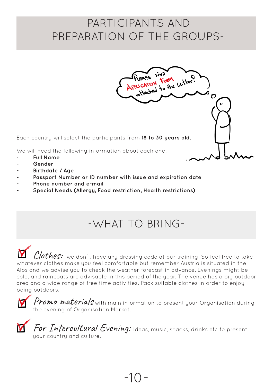### -PARTICIPANTS AND PREPARATION OF THE GROUPS-

PLEASE FIND<br>PLICATION FORM Letter.

Each country will select the participants from **18 to 30 years old.** 

We will need the following information about each one:

- **Full Name**
- **- Gender**
- **- Birthdate / Age**
- **- Passport Number or ID number with issue and expiration date**
- **- Phone number and e-mail**
- **- Special Needs (Allergy, Food restriction, Health restrictions)**

### -WHAT TO BRING-

 $\mathit{Clothes:}\;$  we don`t have any dressing code at our training. So feel free to take whatever clothes make you feel comfortable but remember Austria is situated in the Alps and we advise you to check the weather forecast in advance. Evenings might be cold, and raincoats are advisable in this period of the year. The venue has a big outdoor area and a wide range of free time activities. Pack suitable clothes in order to enjoy being outdoors.

Promo materials with main information to present your Organisation during the evening of Organisation Market.



For Intercultural Evening: Ideas, music, snacks, drinks etc to present your country and culture.